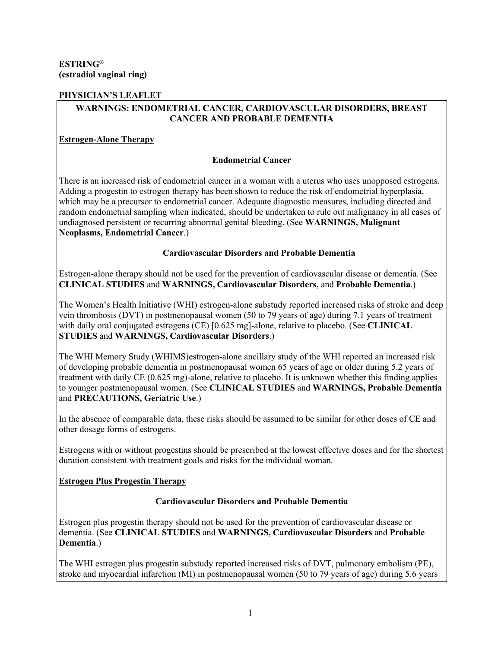## **PHYSICIAN'S LEAFLET**

# **WARNINGS: ENDOMETRIAL CANCER, CARDIOVASCULAR DISORDERS, BREAST CANCER AND PROBABLE DEMENTIA**

# **Estrogen-Alone Therapy**

# **Endometrial Cancer**

There is an increased risk of endometrial cancer in a woman with a uterus who uses unopposed estrogens. Adding a progestin to estrogen therapy has been shown to reduce the risk of endometrial hyperplasia, which may be a precursor to endometrial cancer. Adequate diagnostic measures, including directed and random endometrial sampling when indicated, should be undertaken to rule out malignancy in all cases of undiagnosed persistent or recurring abnormal genital bleeding. (See **WARNINGS, Malignant Neoplasms, Endometrial Cancer**.)

## **Cardiovascular Disorders and Probable Dementia**

Estrogen-alone therapy should not be used for the prevention of cardiovascular disease or dementia. (See **CLINICAL STUDIES** and **WARNINGS, Cardiovascular Disorders,** and **Probable Dementia**.)

The Women's Health Initiative (WHI) estrogen-alone substudy reported increased risks of stroke and deep vein thrombosis (DVT) in postmenopausal women (50 to 79 years of age) during 7.1 years of treatment with daily oral conjugated estrogens (CE) [0.625 mg]-alone, relative to placebo. (See **CLINICAL STUDIES** and **WARNINGS, Cardiovascular Disorders**.)

The WHI Memory Study (WHIMS)estrogen-alone ancillary study of the WHI reported an increased risk of developing probable dementia in postmenopausal women 65 years of age or older during 5.2 years of treatment with daily CE (0.625 mg)-alone, relative to placebo. It is unknown whether this finding applies to younger postmenopausal women. (See **CLINICAL STUDIES** and **WARNINGS, Probable Dementia**  and **PRECAUTIONS, Geriatric Use**.)

In the absence of comparable data, these risks should be assumed to be similar for other doses of CE and other dosage forms of estrogens.

Estrogens with or without progestins should be prescribed at the lowest effective doses and for the shortest duration consistent with treatment goals and risks for the individual woman.

# **Estrogen Plus Progestin Therapy**

### **Cardiovascular Disorders and Probable Dementia**

Estrogen plus progestin therapy should not be used for the prevention of cardiovascular disease or dementia. (See **CLINICAL STUDIES** and **WARNINGS, Cardiovascular Disorders** and **Probable Dementia**.)

The WHI estrogen plus progestin substudy reported increased risks of DVT, pulmonary embolism (PE), stroke and myocardial infarction (MI) in postmenopausal women (50 to 79 years of age) during 5.6 years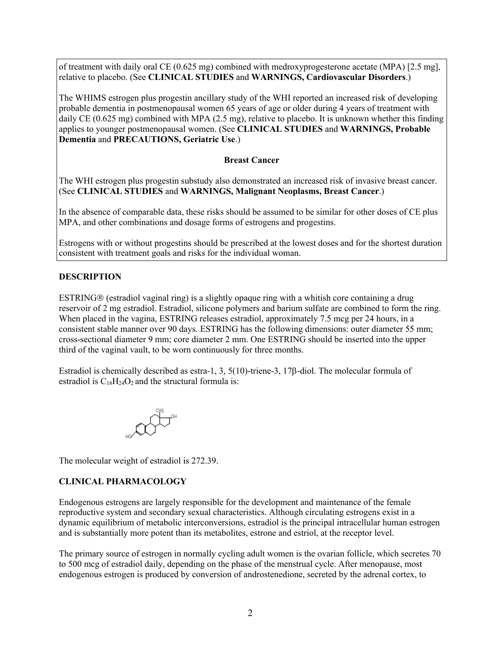of treatment with daily oral CE (0.625 mg) combined with medroxyprogesterone acetate (MPA) [2.5 mg], relative to placebo. (See **CLINICAL STUDIES** and **WARNINGS, Cardiovascular Disorders**.)

The WHIMS estrogen plus progestin ancillary study of the WHI reported an increased risk of developing probable dementia in postmenopausal women 65 years of age or older during 4 years of treatment with daily CE (0.625 mg) combined with MPA (2.5 mg), relative to placebo. It is unknown whether this finding applies to younger postmenopausal women. (See **CLINICAL STUDIES** and **WARNINGS, Probable Dementia** and **PRECAUTIONS, Geriatric Use**.)

#### **Breast Cancer**

The WHI estrogen plus progestin substudy also demonstrated an increased risk of invasive breast cancer. (See **CLINICAL STUDIES** and **WARNINGS, Malignant Neoplasms, Breast Cancer**.)

In the absence of comparable data, these risks should be assumed to be similar for other doses of CE plus MPA, and other combinations and dosage forms of estrogens and progestins.

Estrogens with or without progestins should be prescribed at the lowest doses and for the shortest duration consistent with treatment goals and risks for the individual woman.

#### **DESCRIPTION**

 $ESTRING@$  (estradiol vaginal ring) is a slightly opaque ring with a whitish core containing a drug reservoir of 2 mg estradiol. Estradiol, silicone polymers and barium sulfate are combined to form the ring. When placed in the vagina, ESTRING releases estradiol, approximately 7.5 mcg per 24 hours, in a consistent stable manner over 90 days. ESTRING has the following dimensions: outer diameter 55 mm; cross-sectional diameter 9 mm; core diameter 2 mm. One ESTRING should be inserted into the upper third of the vaginal vault, to be worn continuously for three months.

Estradiol is chemically described as estra-1, 3,  $5(10)$ -triene-3,  $17\beta$ -diol. The molecular formula of estradiol is  $C_{18}H_{24}O_2$  and the structural formula is:



The molecular weight of estradiol is 272.39.

### **CLINICAL PHARMACOLOGY**

Endogenous estrogens are largely responsible for the development and maintenance of the female reproductive system and secondary sexual characteristics. Although circulating estrogens exist in a dynamic equilibrium of metabolic interconversions, estradiol is the principal intracellular human estrogen and is substantially more potent than its metabolites, estrone and estriol, at the receptor level.

The primary source of estrogen in normally cycling adult women is the ovarian follicle, which secretes 70 to 500 mcg of estradiol daily, depending on the phase of the menstrual cycle. After menopause, most endogenous estrogen is produced by conversion of androstenedione, secreted by the adrenal cortex, to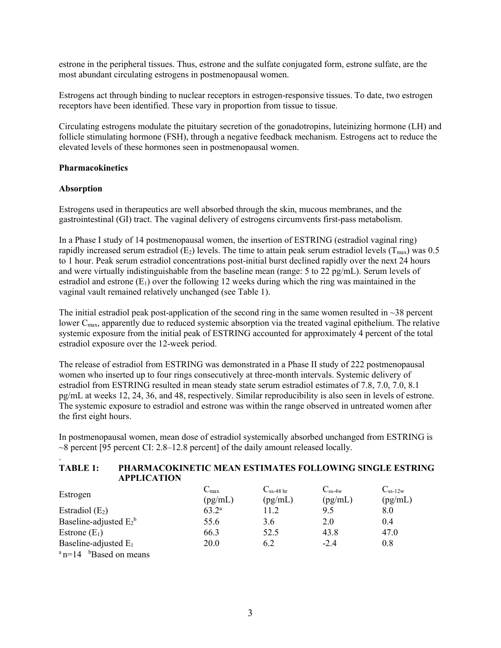estrone in the peripheral tissues. Thus, estrone and the sulfate conjugated form, estrone sulfate, are the most abundant circulating estrogens in postmenopausal women.

Estrogens act through binding to nuclear receptors in estrogen-responsive tissues. To date, two estrogen receptors have been identified. These vary in proportion from tissue to tissue.

Circulating estrogens modulate the pituitary secretion of the gonadotropins, luteinizing hormone (LH) and follicle stimulating hormone (FSH), through a negative feedback mechanism. Estrogens act to reduce the elevated levels of these hormones seen in postmenopausal women.

#### **Pharmacokinetics**

#### **Absorption**

.

Estrogens used in therapeutics are well absorbed through the skin, mucous membranes, and the gastrointestinal (GI) tract. The vaginal delivery of estrogens circumvents first-pass metabolism.

In a Phase I study of 14 postmenopausal women, the insertion of ESTRING (estradiol vaginal ring) rapidly increased serum estradiol (E<sub>2</sub>) levels. The time to attain peak serum estradiol levels ( $T_{\text{max}}$ ) was 0.5 to 1 hour. Peak serum estradiol concentrations post-initial burst declined rapidly over the next 24 hours and were virtually indistinguishable from the baseline mean (range: 5 to 22 pg/mL). Serum levels of estradiol and estrone  $(E_1)$  over the following 12 weeks during which the ring was maintained in the vaginal vault remained relatively unchanged (see Table 1).

The initial estradiol peak post-application of the second ring in the same women resulted in  $\sim$ 38 percent lower C<sub>max</sub>, apparently due to reduced systemic absorption via the treated vaginal epithelium. The relative systemic exposure from the initial peak of ESTRING accounted for approximately 4 percent of the total estradiol exposure over the 12-week period.

The release of estradiol from ESTRING was demonstrated in a Phase II study of 222 postmenopausal women who inserted up to four rings consecutively at three-month intervals. Systemic delivery of estradiol from ESTRING resulted in mean steady state serum estradiol estimates of 7.8, 7.0, 7.0, 8.1 pg/mL at weeks 12, 24, 36, and 48, respectively. Similar reproducibility is also seen in levels of estrone. The systemic exposure to estradiol and estrone was within the range observed in untreated women after the first eight hours.

In postmenopausal women, mean dose of estradiol systemically absorbed unchanged from ESTRING is ~8 percent [95 percent CI: 2.8–12.8 percent] of the daily amount released locally.

#### **TABLE 1: PHARMACOKINETIC MEAN ESTIMATES FOLLOWING SINGLE ESTRING APPLICATION**

| Estrogen                  | $\rm{C_{max}}$ | $\mathrm{C_{ss\text{-}48\,hr}}$ | $C_{ss-4w}$ | $C_{ss-12w}$ |
|---------------------------|----------------|---------------------------------|-------------|--------------|
|                           | (pg/mL)        | (pg/mL)                         | (pg/mL)     | (pg/mL)      |
| Estradiol $(E_2)$         | $63.2^{\rm a}$ | 11.2                            | 9.5         | 8.0          |
| Baseline-adjusted $E_2^b$ | 55.6           | 3.6                             | 2.0         | 0.4          |
| Estrone $(E_1)$           | 66.3           | 52.5                            | 43.8        | 47.0         |
| Baseline-adjusted $E_1$   | 20.0           | 6.2                             | $-2.4$      | 0.8          |
| $n=14$ bBased on means    |                |                                 |             |              |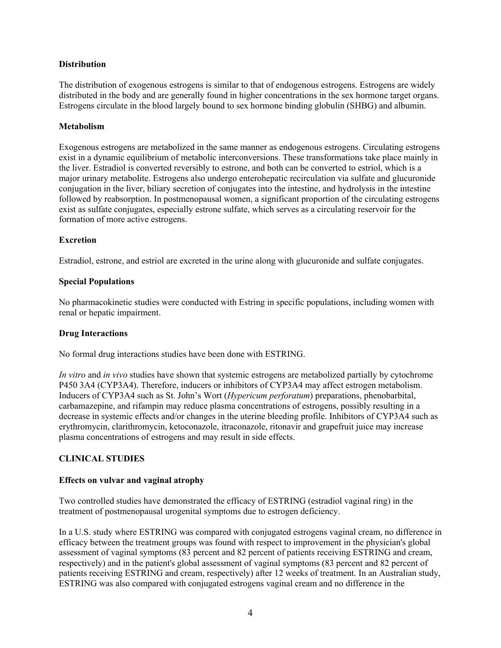## **Distribution**

The distribution of exogenous estrogens is similar to that of endogenous estrogens. Estrogens are widely distributed in the body and are generally found in higher concentrations in the sex hormone target organs. Estrogens circulate in the blood largely bound to sex hormone binding globulin (SHBG) and albumin.

## **Metabolism**

Exogenous estrogens are metabolized in the same manner as endogenous estrogens. Circulating estrogens exist in a dynamic equilibrium of metabolic interconversions. These transformations take place mainly in the liver. Estradiol is converted reversibly to estrone, and both can be converted to estriol, which is a major urinary metabolite. Estrogens also undergo enterohepatic recirculation via sulfate and glucuronide conjugation in the liver, biliary secretion of conjugates into the intestine, and hydrolysis in the intestine followed by reabsorption. In postmenopausal women, a significant proportion of the circulating estrogens exist as sulfate conjugates, especially estrone sulfate, which serves as a circulating reservoir for the formation of more active estrogens.

## **Excretion**

Estradiol, estrone, and estriol are excreted in the urine along with glucuronide and sulfate conjugates.

## **Special Populations**

No pharmacokinetic studies were conducted with Estring in specific populations, including women with renal or hepatic impairment.

### **Drug Interactions**

No formal drug interactions studies have been done with ESTRING.

*In vitro* and *in vivo* studies have shown that systemic estrogens are metabolized partially by cytochrome P450 3A4 (CYP3A4). Therefore, inducers or inhibitors of CYP3A4 may affect estrogen metabolism. Inducers of CYP3A4 such as St. John's Wort (*Hypericum perforatum*) preparations, phenobarbital, carbamazepine, and rifampin may reduce plasma concentrations of estrogens, possibly resulting in a decrease in systemic effects and/or changes in the uterine bleeding profile. Inhibitors of CYP3A4 such as erythromycin, clarithromycin, ketoconazole, itraconazole, ritonavir and grapefruit juice may increase plasma concentrations of estrogens and may result in side effects.

# **CLINICAL STUDIES**

### **Effects on vulvar and vaginal atrophy**

Two controlled studies have demonstrated the efficacy of ESTRING (estradiol vaginal ring) in the treatment of postmenopausal urogenital symptoms due to estrogen deficiency.

In a U.S. study where ESTRING was compared with conjugated estrogens vaginal cream, no difference in efficacy between the treatment groups was found with respect to improvement in the physician's global assessment of vaginal symptoms (83 percent and 82 percent of patients receiving ESTRING and cream, respectively) and in the patient's global assessment of vaginal symptoms (83 percent and 82 percent of patients receiving ESTRING and cream, respectively) after 12 weeks of treatment. In an Australian study, ESTRING was also compared with conjugated estrogens vaginal cream and no difference in the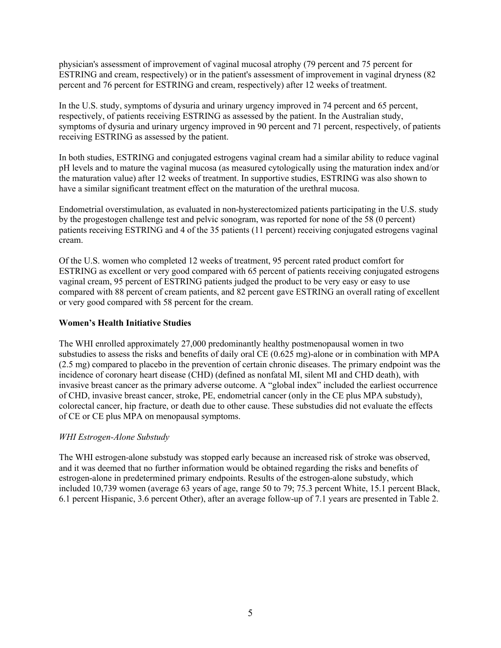physician's assessment of improvement of vaginal mucosal atrophy (79 percent and 75 percent for ESTRING and cream, respectively) or in the patient's assessment of improvement in vaginal dryness (82 percent and 76 percent for ESTRING and cream, respectively) after 12 weeks of treatment.

In the U.S. study, symptoms of dysuria and urinary urgency improved in 74 percent and 65 percent, respectively, of patients receiving ESTRING as assessed by the patient. In the Australian study, symptoms of dysuria and urinary urgency improved in 90 percent and 71 percent, respectively, of patients receiving ESTRING as assessed by the patient.

In both studies, ESTRING and conjugated estrogens vaginal cream had a similar ability to reduce vaginal pH levels and to mature the vaginal mucosa (as measured cytologically using the maturation index and/or the maturation value) after 12 weeks of treatment. In supportive studies, ESTRING was also shown to have a similar significant treatment effect on the maturation of the urethral mucosa.

Endometrial overstimulation, as evaluated in non-hysterectomized patients participating in the U.S. study by the progestogen challenge test and pelvic sonogram, was reported for none of the 58 (0 percent) patients receiving ESTRING and 4 of the 35 patients (11 percent) receiving conjugated estrogens vaginal cream.

Of the U.S. women who completed 12 weeks of treatment, 95 percent rated product comfort for ESTRING as excellent or very good compared with 65 percent of patients receiving conjugated estrogens vaginal cream, 95 percent of ESTRING patients judged the product to be very easy or easy to use compared with 88 percent of cream patients, and 82 percent gave ESTRING an overall rating of excellent or very good compared with 58 percent for the cream.

## **Women's Health Initiative Studies**

The WHI enrolled approximately 27,000 predominantly healthy postmenopausal women in two substudies to assess the risks and benefits of daily oral CE (0.625 mg)-alone or in combination with MPA (2.5 mg) compared to placebo in the prevention of certain chronic diseases. The primary endpoint was the incidence of coronary heart disease (CHD) (defined as nonfatal MI, silent MI and CHD death), with invasive breast cancer as the primary adverse outcome. A "global index" included the earliest occurrence of CHD, invasive breast cancer, stroke, PE, endometrial cancer (only in the CE plus MPA substudy), colorectal cancer, hip fracture, or death due to other cause. These substudies did not evaluate the effects of CE or CE plus MPA on menopausal symptoms.

### *WHI Estrogen-Alone Substudy*

The WHI estrogen-alone substudy was stopped early because an increased risk of stroke was observed, and it was deemed that no further information would be obtained regarding the risks and benefits of estrogen-alone in predetermined primary endpoints. Results of the estrogen-alone substudy, which included 10,739 women (average 63 years of age, range 50 to 79; 75.3 percent White, 15.1 percent Black, 6.1 percent Hispanic, 3.6 percent Other), after an average follow-up of 7.1 years are presented in Table 2.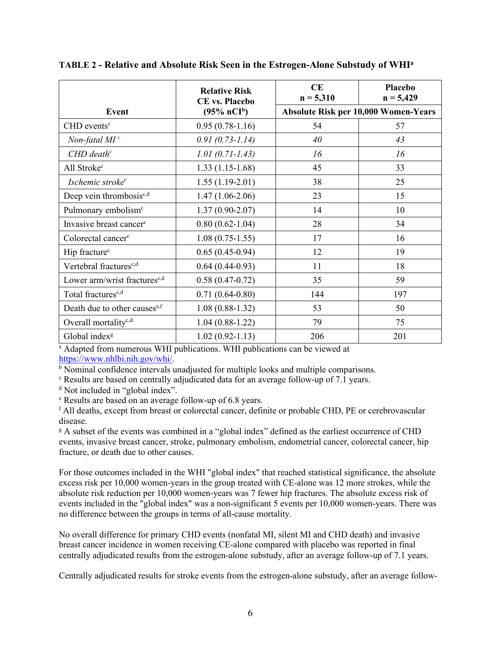|                                          | <b>Relative Risk</b><br><b>CE</b> vs. Placebo | CE<br>$n = 5,310$ | Placebo<br>$n = 5,429$               |  |
|------------------------------------------|-----------------------------------------------|-------------------|--------------------------------------|--|
| Event                                    | $(95\% \, nCI^b)$                             |                   | Absolute Risk per 10,000 Women-Years |  |
| $CHD$ events <sup>c</sup>                | $0.95(0.78-1.16)$                             | 54                | 57                                   |  |
| Non-fatal $MI^c$                         | $0.91(0.73 - 1.14)$                           | 40                | 43                                   |  |
| $CHD$ death <sup>c</sup>                 | $1.01(0.71 - 1.43)$                           | 16                | 16                                   |  |
| All Stroke <sup>c</sup>                  | $1.33(1.15-1.68)$                             | 45                | 33                                   |  |
| Ischemic stroke <sup>c</sup>             | $1.55(1.19-2.01)$                             | 38                | 25                                   |  |
| Deep vein thrombosis <sup>c,d</sup>      | $1.47(1.06-2.06)$                             | 23                | 15                                   |  |
| Pulmonary embolism <sup>c</sup>          | $1.37(0.90-2.07)$                             | 14                | 10                                   |  |
| Invasive breast cancer <sup>c</sup>      | $0.80(0.62 - 1.04)$                           | 28                | 34                                   |  |
| Colorectal cancer <sup>c</sup>           | $1.08(0.75-1.55)$                             | 17                | 16                                   |  |
| Hip fracture <sup>c</sup>                | $0.65(0.45-0.94)$                             | 12                | 19                                   |  |
| Vertebral fractures <sup>c,d</sup>       | $0.64(0.44-0.93)$                             | 11                | 18                                   |  |
| Lower arm/wrist fractures <sup>c,d</sup> | $0.58(0.47-0.72)$                             | 35                | 59                                   |  |
| Total fractures <sup>c,d</sup>           | $0.71(0.64-0.80)$                             | 144               | 197                                  |  |
| Death due to other causes <sup>e,f</sup> | $1.08(0.88-1.32)$                             | 53                | 50                                   |  |
| Overall mortality <sup>c,d</sup>         | $1.04(0.88-1.22)$                             | 79                | 75                                   |  |
| Global index <sup>g</sup>                | $1.02(0.92 - 1.13)$                           | 206               | 201                                  |  |

**TABLE 2 - Relative and Absolute Risk Seen in the Estrogen-Alone Substudy of WHI<sup>a</sup>**

<sup>a</sup> Adapted from numerous WHI publications. WHI publications can be viewed at <https://www.nhlbi.nih.gov/whi/>.

 $\overline{b}$  Nominal confidence intervals unadjusted for multiple looks and multiple comparisons.

<sup>c</sup> Results are based on centrally adjudicated data for an average follow-up of 7.1 years.

<sup>d</sup> Not included in "global index".

<sup>e</sup> Results are based on an average follow-up of 6.8 years.

<sup>f</sup> All deaths, except from breast or colorectal cancer, definite or probable CHD, PE or cerebrovascular disease.

<sup>g</sup> A subset of the events was combined in a "global index" defined as the earliest occurrence of CHD events, invasive breast cancer, stroke, pulmonary embolism, endometrial cancer, colorectal cancer, hip fracture, or death due to other causes.

For those outcomes included in the WHI "global index" that reached statistical significance, the absolute excess risk per 10,000 women-years in the group treated with CE-alone was 12 more strokes, while the absolute risk reduction per 10,000 women-years was 7 fewer hip fractures. The absolute excess risk of events included in the "global index" was a non-significant 5 events per 10,000 women-years. There was no difference between the groups in terms of all-cause mortality.

No overall difference for primary CHD events (nonfatal MI, silent MI and CHD death) and invasive breast cancer incidence in women receiving CE-alone compared with placebo was reported in final centrally adjudicated results from the estrogen-alone substudy, after an average follow-up of 7.1 years.

Centrally adjudicated results for stroke events from the estrogen-alone substudy, after an average follow-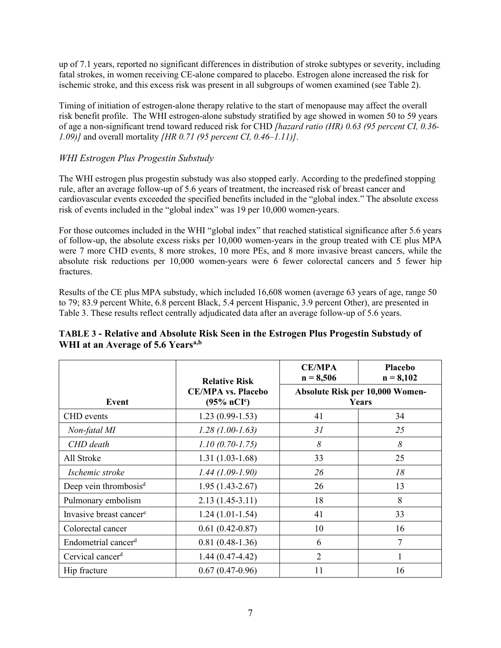up of 7.1 years, reported no significant differences in distribution of stroke subtypes or severity, including fatal strokes, in women receiving CE-alone compared to placebo. Estrogen alone increased the risk for ischemic stroke, and this excess risk was present in all subgroups of women examined (see Table 2).

Timing of initiation of estrogen-alone therapy relative to the start of menopause may affect the overall risk benefit profile. The WHI estrogen-alone substudy stratified by age showed in women 50 to 59 years of age a non-significant trend toward reduced risk for CHD *[hazard ratio (HR) 0.63 (95 percent CI, 0.36- 1.09)]* and overall mortality *[HR 0.71 (95 percent CI, 0.46–1.11)]*.

# *WHI Estrogen Plus Progestin Substudy*

The WHI estrogen plus progestin substudy was also stopped early. According to the predefined stopping rule, after an average follow-up of 5.6 years of treatment, the increased risk of breast cancer and cardiovascular events exceeded the specified benefits included in the "global index." The absolute excess risk of events included in the "global index" was 19 per 10,000 women-years.

For those outcomes included in the WHI "global index" that reached statistical significance after 5.6 years of follow-up, the absolute excess risks per 10,000 women-years in the group treated with CE plus MPA were 7 more CHD events, 8 more strokes, 10 more PEs, and 8 more invasive breast cancers, while the absolute risk reductions per 10,000 women-years were 6 fewer colorectal cancers and 5 fewer hip fractures.

Results of the CE plus MPA substudy, which included 16,608 women (average 63 years of age, range 50 to 79; 83.9 percent White, 6.8 percent Black, 5.4 percent Hispanic, 3.9 percent Other), are presented in Table 3. These results reflect centrally adjudicated data after an average follow-up of 5.6 years.

|                                     | <b>Relative Risk</b>                                | <b>CE/MPA</b><br>$n = 8,506$             | <b>Placebo</b><br>$n = 8,102$ |  |
|-------------------------------------|-----------------------------------------------------|------------------------------------------|-------------------------------|--|
| Event                               | <b>CE/MPA vs. Placebo</b><br>$(95\% \text{ nCI}^c)$ | Absolute Risk per 10,000 Women-<br>Years |                               |  |
| <b>CHD</b> events                   | $1.23(0.99-1.53)$                                   | 41                                       | 34                            |  |
| Non-fatal MI                        | $1.28(1.00-1.63)$                                   | 31                                       | 25                            |  |
| CHD death                           | $1.10(0.70-1.75)$                                   | 8                                        | 8                             |  |
| All Stroke                          | $1.31(1.03-1.68)$                                   | 33                                       | 25                            |  |
| Ischemic stroke                     | $1.44(1.09-1.90)$                                   | 26                                       | 18                            |  |
| Deep vein thrombosis <sup>d</sup>   | $1.95(1.43-2.67)$                                   | 26                                       | 13                            |  |
| Pulmonary embolism                  | $2.13(1.45-3.11)$                                   | 18                                       | 8                             |  |
| Invasive breast cancer <sup>e</sup> | $1.24(1.01-1.54)$                                   | 41                                       | 33                            |  |
| Colorectal cancer                   | $0.61(0.42 - 0.87)$                                 | 10                                       | 16                            |  |
| Endometrial cancer <sup>d</sup>     | $0.81(0.48-1.36)$                                   | 6                                        | 7                             |  |
| Cervical cancer <sup>d</sup>        | $1.44(0.47-4.42)$                                   | 2                                        |                               |  |
| Hip fracture                        | $0.67(0.47-0.96)$                                   | 11                                       | 16                            |  |

# **TABLE 3 - Relative and Absolute Risk Seen in the Estrogen Plus Progestin Substudy of WHI at an Average of 5.6 Yearsa,b**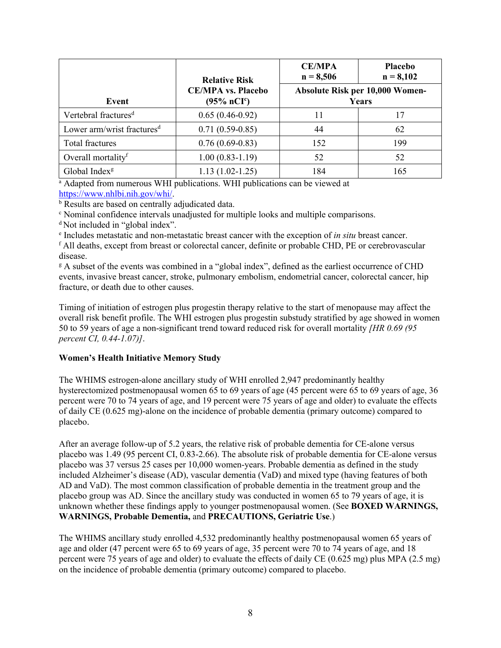|                                        | <b>Relative Risk</b>                                | <b>CE/MPA</b><br>$n = 8,506$                    | <b>Placebo</b><br>$n = 8,102$ |  |
|----------------------------------------|-----------------------------------------------------|-------------------------------------------------|-------------------------------|--|
| Event                                  | <b>CE/MPA vs. Placebo</b><br>$(95\% \text{ nCI}^c)$ | Absolute Risk per 10,000 Women-<br><b>Years</b> |                               |  |
| Vertebral fractures <sup>d</sup>       | $0.65(0.46-0.92)$                                   | 11                                              | 17                            |  |
| Lower arm/wrist fractures <sup>d</sup> | $0.71(0.59-0.85)$                                   | 44                                              | 62                            |  |
| Total fractures                        | $0.76(0.69-0.83)$                                   | 152                                             | 199                           |  |
| Overall mortality <sup>f</sup>         | $1.00(0.83-1.19)$                                   | 52                                              | 52                            |  |
| Global Index <sup>g</sup>              | $1.13(1.02-1.25)$                                   | 184                                             | 165                           |  |

<sup>a</sup> Adapted from numerous WHI publications. WHI publications can be viewed at <https://www.nhlbi.nih.gov/whi/>.

<sup>b</sup> Results are based on centrally adjudicated data.

<sup>c</sup> Nominal confidence intervals unadjusted for multiple looks and multiple comparisons.

<sup>d</sup>Not included in "global index".

e Includes metastatic and non-metastatic breast cancer with the exception of *in situ* breast cancer.

 $f$  All deaths, except from breast or colorectal cancer, definite or probable CHD, PE or cerebrovascular disease.

<sup>g</sup> A subset of the events was combined in a "global index", defined as the earliest occurrence of CHD events, invasive breast cancer, stroke, pulmonary embolism, endometrial cancer, colorectal cancer, hip fracture, or death due to other causes.

Timing of initiation of estrogen plus progestin therapy relative to the start of menopause may affect the overall risk benefit profile. The WHI estrogen plus progestin substudy stratified by age showed in women 50 to 59 years of age a non-significant trend toward reduced risk for overall mortality *[HR 0.69 (95 percent CI, 0.44-1.07)]*.

### **Women's Health Initiative Memory Study**

The WHIMS estrogen-alone ancillary study of WHI enrolled 2,947 predominantly healthy hysterectomized postmenopausal women 65 to 69 years of age (45 percent were 65 to 69 years of age, 36 percent were 70 to 74 years of age, and 19 percent were 75 years of age and older) to evaluate the effects of daily CE (0.625 mg)-alone on the incidence of probable dementia (primary outcome) compared to placebo.

After an average follow-up of 5.2 years, the relative risk of probable dementia for CE-alone versus placebo was 1.49 (95 percent CI, 0.83-2.66). The absolute risk of probable dementia for CE-alone versus placebo was 37 versus 25 cases per 10,000 women-years. Probable dementia as defined in the study included Alzheimer's disease (AD), vascular dementia (VaD) and mixed type (having features of both AD and VaD). The most common classification of probable dementia in the treatment group and the placebo group was AD. Since the ancillary study was conducted in women 65 to 79 years of age, it is unknown whether these findings apply to younger postmenopausal women. (See **BOXED WARNINGS, WARNINGS, Probable Dementia,** and **PRECAUTIONS, Geriatric Use**.)

The WHIMS ancillary study enrolled 4,532 predominantly healthy postmenopausal women 65 years of age and older (47 percent were 65 to 69 years of age, 35 percent were 70 to 74 years of age, and 18 percent were 75 years of age and older) to evaluate the effects of daily CE (0.625 mg) plus MPA (2.5 mg) on the incidence of probable dementia (primary outcome) compared to placebo.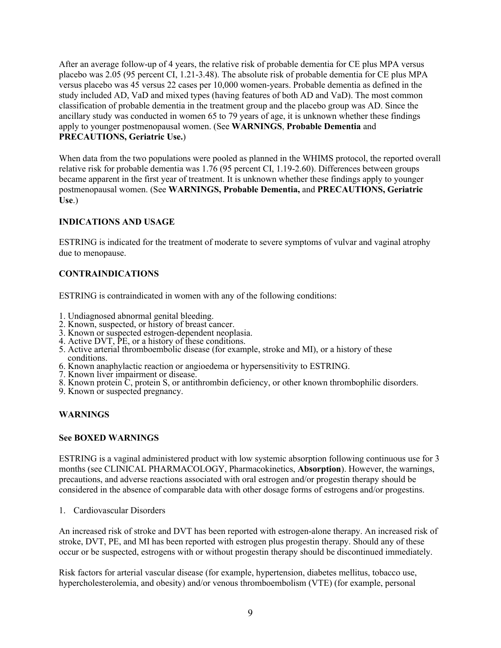After an average follow-up of 4 years, the relative risk of probable dementia for CE plus MPA versus placebo was 2.05 (95 percent CI, 1.21-3.48). The absolute risk of probable dementia for CE plus MPA versus placebo was 45 versus 22 cases per 10,000 women-years. Probable dementia as defined in the study included AD, VaD and mixed types (having features of both AD and VaD). The most common classification of probable dementia in the treatment group and the placebo group was AD. Since the ancillary study was conducted in women 65 to 79 years of age, it is unknown whether these findings apply to younger postmenopausal women. (See **WARNINGS**, **Probable Dementia** and **PRECAUTIONS, Geriatric Use.**)

When data from the two populations were pooled as planned in the WHIMS protocol, the reported overall relative risk for probable dementia was 1.76 (95 percent CI, 1.19-2.60). Differences between groups became apparent in the first year of treatment. It is unknown whether these findings apply to younger postmenopausal women. (See **WARNINGS, Probable Dementia,** and **PRECAUTIONS, Geriatric Use**.)

## **INDICATIONS AND USAGE**

ESTRING is indicated for the treatment of moderate to severe symptoms of vulvar and vaginal atrophy due to menopause.

## **CONTRAINDICATIONS**

ESTRING is contraindicated in women with any of the following conditions:

- 1. Undiagnosed abnormal genital bleeding.
- 2. Known, suspected, or history of breast cancer.
- 3. Known or suspected estrogen-dependent neoplasia.
- 4. Active DVT, PE, or a history of these conditions.
- 5. Active arterial thromboembolic disease (for example, stroke and MI), or a history of these conditions.
- 6. Known anaphylactic reaction or angioedema or hypersensitivity to ESTRING.
- 7. Known liver impairment or disease.
- 8. Known protein C, protein S, or antithrombin deficiency, or other known thrombophilic disorders.
- 9. Known or suspected pregnancy.

### **WARNINGS**

### **See BOXED WARNINGS**

ESTRING is a vaginal administered product with low systemic absorption following continuous use for 3 months (see CLINICAL PHARMACOLOGY, Pharmacokinetics, **Absorption**). However, the warnings, precautions, and adverse reactions associated with oral estrogen and/or progestin therapy should be considered in the absence of comparable data with other dosage forms of estrogens and/or progestins.

1. Cardiovascular Disorders

An increased risk of stroke and DVT has been reported with estrogen-alone therapy. An increased risk of stroke, DVT, PE, and MI has been reported with estrogen plus progestin therapy. Should any of these occur or be suspected, estrogens with or without progestin therapy should be discontinued immediately.

Risk factors for arterial vascular disease (for example, hypertension, diabetes mellitus, tobacco use, hypercholesterolemia, and obesity) and/or venous thromboembolism (VTE) (for example, personal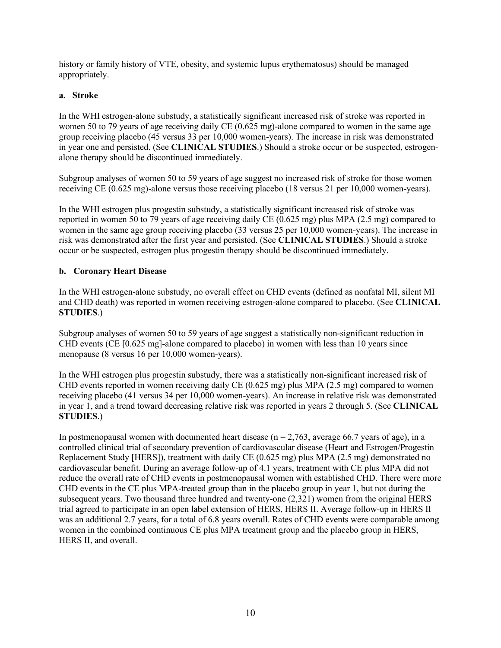history or family history of VTE, obesity, and systemic lupus erythematosus) should be managed appropriately.

## **a. Stroke**

In the WHI estrogen-alone substudy, a statistically significant increased risk of stroke was reported in women 50 to 79 years of age receiving daily CE (0.625 mg)-alone compared to women in the same age group receiving placebo (45 versus 33 per 10,000 women-years). The increase in risk was demonstrated in year one and persisted. (See **CLINICAL STUDIES**.) Should a stroke occur or be suspected, estrogenalone therapy should be discontinued immediately.

Subgroup analyses of women 50 to 59 years of age suggest no increased risk of stroke for those women receiving CE (0.625 mg)-alone versus those receiving placebo (18 versus 21 per 10,000 women-years).

In the WHI estrogen plus progestin substudy, a statistically significant increased risk of stroke was reported in women 50 to 79 years of age receiving daily CE (0.625 mg) plus MPA (2.5 mg) compared to women in the same age group receiving placebo (33 versus 25 per 10,000 women-years). The increase in risk was demonstrated after the first year and persisted. (See **CLINICAL STUDIES**.) Should a stroke occur or be suspected, estrogen plus progestin therapy should be discontinued immediately.

## **b. Coronary Heart Disease**

In the WHI estrogen-alone substudy, no overall effect on CHD events (defined as nonfatal MI, silent MI and CHD death) was reported in women receiving estrogen-alone compared to placebo. (See **CLINICAL STUDIES**.)

Subgroup analyses of women 50 to 59 years of age suggest a statistically non-significant reduction in CHD events (CE [0.625 mg]-alone compared to placebo) in women with less than 10 years since menopause (8 versus 16 per 10,000 women-years).

In the WHI estrogen plus progestin substudy, there was a statistically non-significant increased risk of CHD events reported in women receiving daily CE (0.625 mg) plus MPA (2.5 mg) compared to women receiving placebo (41 versus 34 per 10,000 women-years). An increase in relative risk was demonstrated in year 1, and a trend toward decreasing relative risk was reported in years 2 through 5. (See **CLINICAL STUDIES**.)

In postmenopausal women with documented heart disease ( $n = 2,763$ , average 66.7 years of age), in a controlled clinical trial of secondary prevention of cardiovascular disease (Heart and Estrogen/Progestin Replacement Study [HERS]), treatment with daily CE (0.625 mg) plus MPA (2.5 mg) demonstrated no cardiovascular benefit. During an average follow-up of 4.1 years, treatment with CE plus MPA did not reduce the overall rate of CHD events in postmenopausal women with established CHD. There were more CHD events in the CE plus MPA-treated group than in the placebo group in year 1, but not during the subsequent years. Two thousand three hundred and twenty-one (2,321) women from the original HERS trial agreed to participate in an open label extension of HERS, HERS II. Average follow-up in HERS II was an additional 2.7 years, for a total of 6.8 years overall. Rates of CHD events were comparable among women in the combined continuous CE plus MPA treatment group and the placebo group in HERS, HERS II, and overall.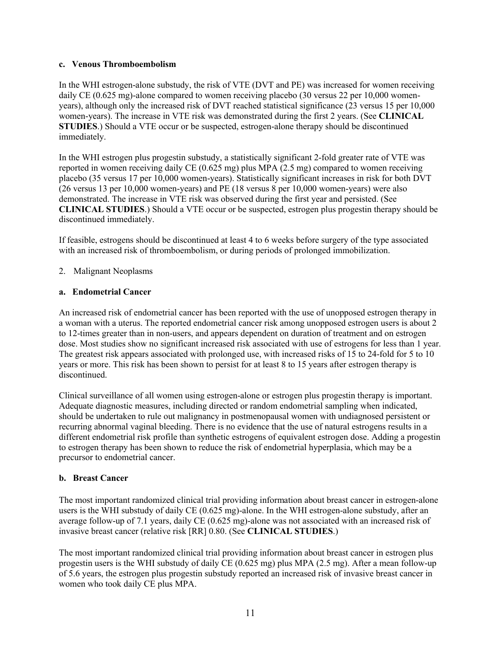### **c. Venous Thromboembolism**

In the WHI estrogen-alone substudy, the risk of VTE (DVT and PE) was increased for women receiving daily CE (0.625 mg)-alone compared to women receiving placebo (30 versus 22 per 10,000 womenyears), although only the increased risk of DVT reached statistical significance (23 versus 15 per 10,000 women-years). The increase in VTE risk was demonstrated during the first 2 years. (See **CLINICAL STUDIES**.) Should a VTE occur or be suspected, estrogen-alone therapy should be discontinued immediately.

In the WHI estrogen plus progestin substudy, a statistically significant 2-fold greater rate of VTE was reported in women receiving daily CE (0.625 mg) plus MPA (2.5 mg) compared to women receiving placebo (35 versus 17 per 10,000 women-years). Statistically significant increases in risk for both DVT (26 versus 13 per 10,000 women-years) and PE (18 versus 8 per 10,000 women-years) were also demonstrated. The increase in VTE risk was observed during the first year and persisted. (See **CLINICAL STUDIES**.) Should a VTE occur or be suspected, estrogen plus progestin therapy should be discontinued immediately.

If feasible, estrogens should be discontinued at least 4 to 6 weeks before surgery of the type associated with an increased risk of thromboembolism, or during periods of prolonged immobilization.

2. Malignant Neoplasms

## **a. Endometrial Cancer**

An increased risk of endometrial cancer has been reported with the use of unopposed estrogen therapy in a woman with a uterus. The reported endometrial cancer risk among unopposed estrogen users is about 2 to 12-times greater than in non-users, and appears dependent on duration of treatment and on estrogen dose. Most studies show no significant increased risk associated with use of estrogens for less than 1 year. The greatest risk appears associated with prolonged use, with increased risks of 15 to 24-fold for 5 to 10 years or more. This risk has been shown to persist for at least 8 to 15 years after estrogen therapy is discontinued.

Clinical surveillance of all women using estrogen-alone or estrogen plus progestin therapy is important. Adequate diagnostic measures, including directed or random endometrial sampling when indicated, should be undertaken to rule out malignancy in postmenopausal women with undiagnosed persistent or recurring abnormal vaginal bleeding. There is no evidence that the use of natural estrogens results in a different endometrial risk profile than synthetic estrogens of equivalent estrogen dose. Adding a progestin to estrogen therapy has been shown to reduce the risk of endometrial hyperplasia, which may be a precursor to endometrial cancer.

# **b. Breast Cancer**

The most important randomized clinical trial providing information about breast cancer in estrogen-alone users is the WHI substudy of daily CE (0.625 mg)-alone. In the WHI estrogen-alone substudy, after an average follow-up of 7.1 years, daily CE (0.625 mg)-alone was not associated with an increased risk of invasive breast cancer (relative risk [RR] 0.80. (See **CLINICAL STUDIES**.)

The most important randomized clinical trial providing information about breast cancer in estrogen plus progestin users is the WHI substudy of daily CE (0.625 mg) plus MPA (2.5 mg). After a mean follow-up of 5.6 years, the estrogen plus progestin substudy reported an increased risk of invasive breast cancer in women who took daily CE plus MPA.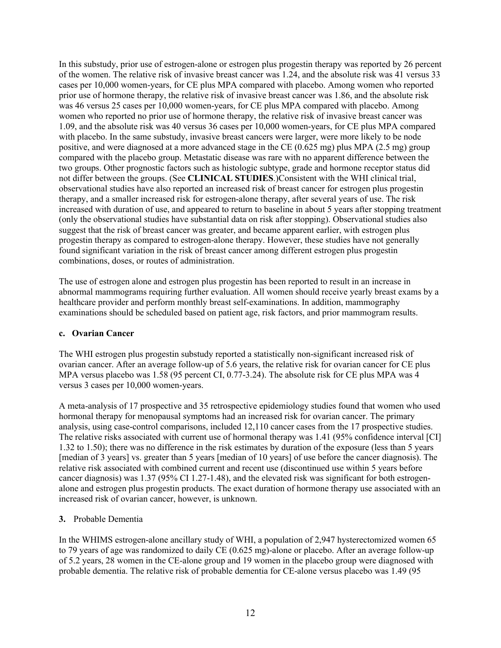In this substudy, prior use of estrogen-alone or estrogen plus progestin therapy was reported by 26 percent of the women. The relative risk of invasive breast cancer was 1.24, and the absolute risk was 41 versus 33 cases per 10,000 women-years, for CE plus MPA compared with placebo. Among women who reported prior use of hormone therapy, the relative risk of invasive breast cancer was 1.86, and the absolute risk was 46 versus 25 cases per 10,000 women-years, for CE plus MPA compared with placebo. Among women who reported no prior use of hormone therapy, the relative risk of invasive breast cancer was 1.09, and the absolute risk was 40 versus 36 cases per 10,000 women-years, for CE plus MPA compared with placebo. In the same substudy, invasive breast cancers were larger, were more likely to be node positive, and were diagnosed at a more advanced stage in the CE (0.625 mg) plus MPA (2.5 mg) group compared with the placebo group. Metastatic disease was rare with no apparent difference between the two groups. Other prognostic factors such as histologic subtype, grade and hormone receptor status did not differ between the groups. (See **CLINICAL STUDIES**.)Consistent with the WHI clinical trial, observational studies have also reported an increased risk of breast cancer for estrogen plus progestin therapy, and a smaller increased risk for estrogen-alone therapy, after several years of use. The risk increased with duration of use, and appeared to return to baseline in about 5 years after stopping treatment (only the observational studies have substantial data on risk after stopping). Observational studies also suggest that the risk of breast cancer was greater, and became apparent earlier, with estrogen plus progestin therapy as compared to estrogen-alone therapy. However, these studies have not generally found significant variation in the risk of breast cancer among different estrogen plus progestin combinations, doses, or routes of administration.

The use of estrogen alone and estrogen plus progestin has been reported to result in an increase in abnormal mammograms requiring further evaluation. All women should receive yearly breast exams by a healthcare provider and perform monthly breast self-examinations. In addition, mammography examinations should be scheduled based on patient age, risk factors, and prior mammogram results.

### **c. Ovarian Cancer**

The WHI estrogen plus progestin substudy reported a statistically non-significant increased risk of ovarian cancer. After an average follow-up of 5.6 years, the relative risk for ovarian cancer for CE plus MPA versus placebo was 1.58 (95 percent CI, 0.77-3.24). The absolute risk for CE plus MPA was 4 versus 3 cases per 10,000 women-years.

A meta-analysis of 17 prospective and 35 retrospective epidemiology studies found that women who used hormonal therapy for menopausal symptoms had an increased risk for ovarian cancer. The primary analysis, using case-control comparisons, included 12,110 cancer cases from the 17 prospective studies. The relative risks associated with current use of hormonal therapy was 1.41 (95% confidence interval [CI] 1.32 to 1.50); there was no difference in the risk estimates by duration of the exposure (less than 5 years [median of 3 years] vs. greater than 5 years [median of 10 years] of use before the cancer diagnosis). The relative risk associated with combined current and recent use (discontinued use within 5 years before cancer diagnosis) was 1.37 (95% CI 1.27-1.48), and the elevated risk was significant for both estrogenalone and estrogen plus progestin products. The exact duration of hormone therapy use associated with an increased risk of ovarian cancer, however, is unknown.

# **3.** Probable Dementia

In the WHIMS estrogen-alone ancillary study of WHI, a population of 2,947 hysterectomized women 65 to 79 years of age was randomized to daily CE (0.625 mg)-alone or placebo. After an average follow-up of 5.2 years, 28 women in the CE-alone group and 19 women in the placebo group were diagnosed with probable dementia. The relative risk of probable dementia for CE-alone versus placebo was 1.49 (95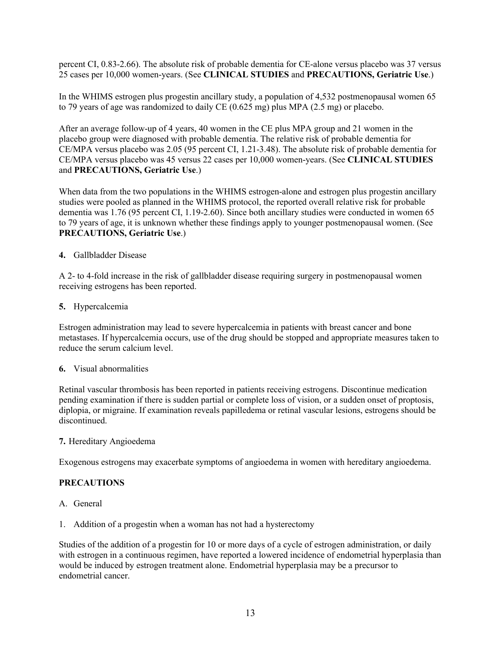percent CI, 0.83-2.66). The absolute risk of probable dementia for CE-alone versus placebo was 37 versus 25 cases per 10,000 women-years. (See **CLINICAL STUDIES** and **PRECAUTIONS, Geriatric Use**.)

In the WHIMS estrogen plus progestin ancillary study, a population of 4,532 postmenopausal women 65 to 79 years of age was randomized to daily CE (0.625 mg) plus MPA (2.5 mg) or placebo.

After an average follow-up of 4 years, 40 women in the CE plus MPA group and 21 women in the placebo group were diagnosed with probable dementia. The relative risk of probable dementia for CE/MPA versus placebo was 2.05 (95 percent CI, 1.21-3.48). The absolute risk of probable dementia for CE/MPA versus placebo was 45 versus 22 cases per 10,000 women-years. (See **CLINICAL STUDIES**  and **PRECAUTIONS, Geriatric Use**.)

When data from the two populations in the WHIMS estrogen-alone and estrogen plus progestin ancillary studies were pooled as planned in the WHIMS protocol, the reported overall relative risk for probable dementia was 1.76 (95 percent CI, 1.19-2.60). Since both ancillary studies were conducted in women 65 to 79 years of age, it is unknown whether these findings apply to younger postmenopausal women. (See **PRECAUTIONS, Geriatric Use**.)

### **4.** Gallbladder Disease

A 2- to 4-fold increase in the risk of gallbladder disease requiring surgery in postmenopausal women receiving estrogens has been reported.

#### **5.** Hypercalcemia

Estrogen administration may lead to severe hypercalcemia in patients with breast cancer and bone metastases. If hypercalcemia occurs, use of the drug should be stopped and appropriate measures taken to reduce the serum calcium level.

### **6.** Visual abnormalities

Retinal vascular thrombosis has been reported in patients receiving estrogens. Discontinue medication pending examination if there is sudden partial or complete loss of vision, or a sudden onset of proptosis, diplopia, or migraine. If examination reveals papilledema or retinal vascular lesions, estrogens should be discontinued.

#### **7.** Hereditary Angioedema

Exogenous estrogens may exacerbate symptoms of angioedema in women with hereditary angioedema.

### **PRECAUTIONS**

- A. General
- 1. Addition of a progestin when a woman has not had a hysterectomy

Studies of the addition of a progestin for 10 or more days of a cycle of estrogen administration, or daily with estrogen in a continuous regimen, have reported a lowered incidence of endometrial hyperplasia than would be induced by estrogen treatment alone. Endometrial hyperplasia may be a precursor to endometrial cancer.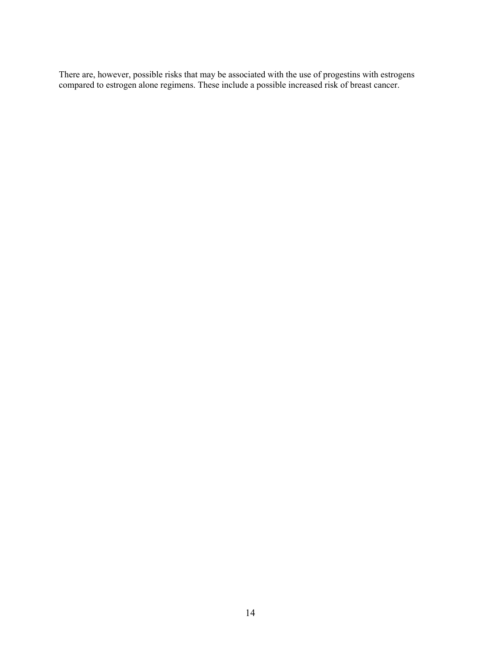There are, however, possible risks that may be associated with the use of progestins with estrogens compared to estrogen alone regimens. These include a possible increased risk of breast cancer.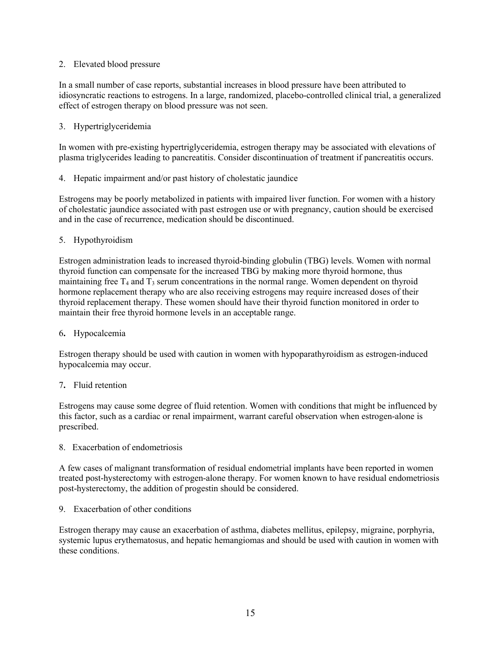## 2. Elevated blood pressure

In a small number of case reports, substantial increases in blood pressure have been attributed to idiosyncratic reactions to estrogens. In a large, randomized, placebo-controlled clinical trial, a generalized effect of estrogen therapy on blood pressure was not seen.

## 3. Hypertriglyceridemia

In women with pre-existing hypertriglyceridemia, estrogen therapy may be associated with elevations of plasma triglycerides leading to pancreatitis. Consider discontinuation of treatment if pancreatitis occurs.

4. Hepatic impairment and/or past history of cholestatic jaundice

Estrogens may be poorly metabolized in patients with impaired liver function. For women with a history of cholestatic jaundice associated with past estrogen use or with pregnancy, caution should be exercised and in the case of recurrence, medication should be discontinued.

5. Hypothyroidism

Estrogen administration leads to increased thyroid-binding globulin (TBG) levels. Women with normal thyroid function can compensate for the increased TBG by making more thyroid hormone, thus maintaining free  $T_4$  and  $T_3$  serum concentrations in the normal range. Women dependent on thyroid hormone replacement therapy who are also receiving estrogens may require increased doses of their thyroid replacement therapy. These women should have their thyroid function monitored in order to maintain their free thyroid hormone levels in an acceptable range.

6**.** Hypocalcemia

Estrogen therapy should be used with caution in women with hypoparathyroidism as estrogen-induced hypocalcemia may occur.

# 7**.** Fluid retention

Estrogens may cause some degree of fluid retention. Women with conditions that might be influenced by this factor, such as a cardiac or renal impairment, warrant careful observation when estrogen-alone is prescribed.

8. Exacerbation of endometriosis

A few cases of malignant transformation of residual endometrial implants have been reported in women treated post-hysterectomy with estrogen-alone therapy. For women known to have residual endometriosis post-hysterectomy, the addition of progestin should be considered.

### 9. Exacerbation of other conditions

Estrogen therapy may cause an exacerbation of asthma, diabetes mellitus, epilepsy, migraine, porphyria, systemic lupus erythematosus, and hepatic hemangiomas and should be used with caution in women with these conditions.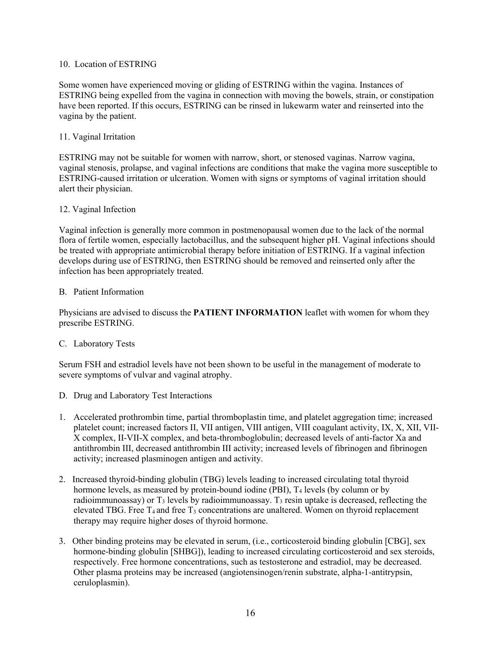### 10. Location of ESTRING

Some women have experienced moving or gliding of ESTRING within the vagina. Instances of ESTRING being expelled from the vagina in connection with moving the bowels, strain, or constipation have been reported. If this occurs, ESTRING can be rinsed in lukewarm water and reinserted into the vagina by the patient.

## 11. Vaginal Irritation

ESTRING may not be suitable for women with narrow, short, or stenosed vaginas. Narrow vagina, vaginal stenosis, prolapse, and vaginal infections are conditions that make the vagina more susceptible to ESTRING-caused irritation or ulceration. Women with signs or symptoms of vaginal irritation should alert their physician.

### 12. Vaginal Infection

Vaginal infection is generally more common in postmenopausal women due to the lack of the normal flora of fertile women, especially lactobacillus, and the subsequent higher pH. Vaginal infections should be treated with appropriate antimicrobial therapy before initiation of ESTRING. If a vaginal infection develops during use of ESTRING, then ESTRING should be removed and reinserted only after the infection has been appropriately treated.

### B. Patient Information

Physicians are advised to discuss the **PATIENT INFORMATION** leaflet with women for whom they prescribe ESTRING.

### C. Laboratory Tests

Serum FSH and estradiol levels have not been shown to be useful in the management of moderate to severe symptoms of vulvar and vaginal atrophy.

- D. Drug and Laboratory Test Interactions
- 1. Accelerated prothrombin time, partial thromboplastin time, and platelet aggregation time; increased platelet count; increased factors II, VII antigen, VIII antigen, VIII coagulant activity, IX, X, XII, VII-X complex, II-VII-X complex, and beta-thromboglobulin; decreased levels of anti-factor Xa and antithrombin III, decreased antithrombin III activity; increased levels of fibrinogen and fibrinogen activity; increased plasminogen antigen and activity.
- 2. Increased thyroid-binding globulin (TBG) levels leading to increased circulating total thyroid hormone levels, as measured by protein-bound iodine (PBI),  $T_4$  levels (by column or by radioimmunoassay) or  $T_3$  levels by radioimmunoassay.  $T_3$  resin uptake is decreased, reflecting the elevated TBG. Free  $T_4$  and free  $T_3$  concentrations are unaltered. Women on thyroid replacement therapy may require higher doses of thyroid hormone.
- 3. Other binding proteins may be elevated in serum, (i.e., corticosteroid binding globulin [CBG], sex hormone-binding globulin [SHBG]), leading to increased circulating corticosteroid and sex steroids, respectively. Free hormone concentrations, such as testosterone and estradiol, may be decreased. Other plasma proteins may be increased (angiotensinogen/renin substrate, alpha-1-antitrypsin, ceruloplasmin).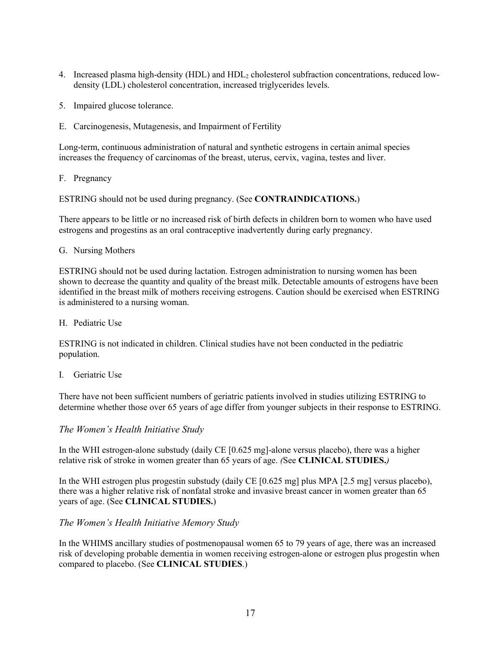- 4. Increased plasma high-density (HDL) and HDL<sup>2</sup> cholesterol subfraction concentrations, reduced lowdensity (LDL) cholesterol concentration, increased triglycerides levels.
- 5. Impaired glucose tolerance.
- E. Carcinogenesis, Mutagenesis, and Impairment of Fertility

Long-term, continuous administration of natural and synthetic estrogens in certain animal species increases the frequency of carcinomas of the breast, uterus, cervix, vagina, testes and liver.

F. Pregnancy

ESTRING should not be used during pregnancy. (See **CONTRAINDICATIONS.**)

There appears to be little or no increased risk of birth defects in children born to women who have used estrogens and progestins as an oral contraceptive inadvertently during early pregnancy.

#### G. Nursing Mothers

ESTRING should not be used during lactation. Estrogen administration to nursing women has been shown to decrease the quantity and quality of the breast milk. Detectable amounts of estrogens have been identified in the breast milk of mothers receiving estrogens. Caution should be exercised when ESTRING is administered to a nursing woman.

H. Pediatric Use

ESTRING is not indicated in children. Clinical studies have not been conducted in the pediatric population.

I. Geriatric Use

There have not been sufficient numbers of geriatric patients involved in studies utilizing ESTRING to determine whether those over 65 years of age differ from younger subjects in their response to ESTRING.

### *The Women's Health Initiative Study*

In the WHI estrogen-alone substudy (daily CE [0.625 mg]-alone versus placebo), there was a higher relative risk of stroke in women greater than 65 years of age. *(*See **CLINICAL STUDIES.***)*

In the WHI estrogen plus progestin substudy (daily CE [0.625 mg] plus MPA [2.5 mg] versus placebo), there was a higher relative risk of nonfatal stroke and invasive breast cancer in women greater than 65 years of age. (See **CLINICAL STUDIES.**)

### *The Women's Health Initiative Memory Study*

In the WHIMS ancillary studies of postmenopausal women 65 to 79 years of age, there was an increased risk of developing probable dementia in women receiving estrogen-alone or estrogen plus progestin when compared to placebo. (See **CLINICAL STUDIES**.)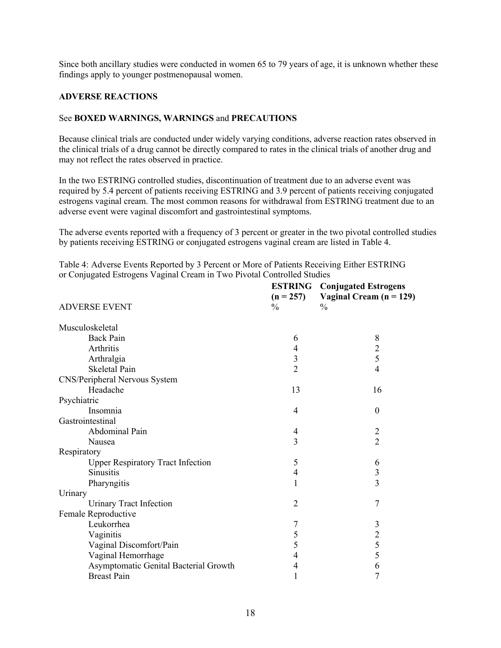Since both ancillary studies were conducted in women 65 to 79 years of age, it is unknown whether these findings apply to younger postmenopausal women.

#### **ADVERSE REACTIONS**

#### See **BOXED WARNINGS, WARNINGS** and **PRECAUTIONS**

Because clinical trials are conducted under widely varying conditions, adverse reaction rates observed in the clinical trials of a drug cannot be directly compared to rates in the clinical trials of another drug and may not reflect the rates observed in practice.

In the two ESTRING controlled studies, discontinuation of treatment due to an adverse event was required by 5.4 percent of patients receiving ESTRING and 3.9 percent of patients receiving conjugated estrogens vaginal cream. The most common reasons for withdrawal from ESTRING treatment due to an adverse event were vaginal discomfort and gastrointestinal symptoms.

The adverse events reported with a frequency of 3 percent or greater in the two pivotal controlled studies by patients receiving ESTRING or conjugated estrogens vaginal cream are listed in Table 4.

Table 4: Adverse Events Reported by 3 Percent or More of Patients Receiving Either ESTRING or Conjugated Estrogens Vaginal Cream in Two Pivotal Controlled Studies **ESTRING**

| <b>ADVERSE EVENT</b>                     | <b>ESTRING</b><br>$(n = 257)$<br>$\frac{0}{0}$ | <b>Conjugated Estrogens</b><br>Vaginal Cream $(n = 129)$<br>$\frac{0}{0}$ |
|------------------------------------------|------------------------------------------------|---------------------------------------------------------------------------|
|                                          |                                                |                                                                           |
| Musculoskeletal                          |                                                |                                                                           |
| <b>Back Pain</b>                         | 6                                              | 8                                                                         |
| Arthritis                                | $\overline{4}$                                 | $\overline{c}$                                                            |
| Arthralgia                               | 3                                              | 5                                                                         |
| <b>Skeletal Pain</b>                     | $\overline{2}$                                 | $\overline{4}$                                                            |
| CNS/Peripheral Nervous System            |                                                |                                                                           |
| Headache                                 | 13                                             | 16                                                                        |
| Psychiatric                              |                                                |                                                                           |
| Insomnia                                 | 4                                              | $\boldsymbol{0}$                                                          |
| Gastrointestinal                         |                                                |                                                                           |
| Abdominal Pain                           | 4                                              | $\overline{2}$                                                            |
| Nausea                                   | 3                                              | $\overline{2}$                                                            |
| Respiratory                              |                                                |                                                                           |
| <b>Upper Respiratory Tract Infection</b> | 5                                              | 6                                                                         |
| <b>Sinusitis</b>                         | $\overline{4}$                                 | 3                                                                         |
| Pharyngitis                              | 1                                              | 3                                                                         |
| Urinary                                  |                                                |                                                                           |
| <b>Urinary Tract Infection</b>           | $\overline{2}$                                 | 7                                                                         |
| Female Reproductive                      |                                                |                                                                           |
| Leukorrhea                               | 7                                              | $\mathfrak{Z}$                                                            |
| Vaginitis                                | 5                                              | $\overline{c}$                                                            |
| Vaginal Discomfort/Pain                  | 5                                              | 5                                                                         |
| Vaginal Hemorrhage                       | 4                                              | 5                                                                         |
| Asymptomatic Genital Bacterial Growth    | 4                                              | 6                                                                         |
| <b>Breast Pain</b>                       | 1                                              | 7                                                                         |
|                                          |                                                |                                                                           |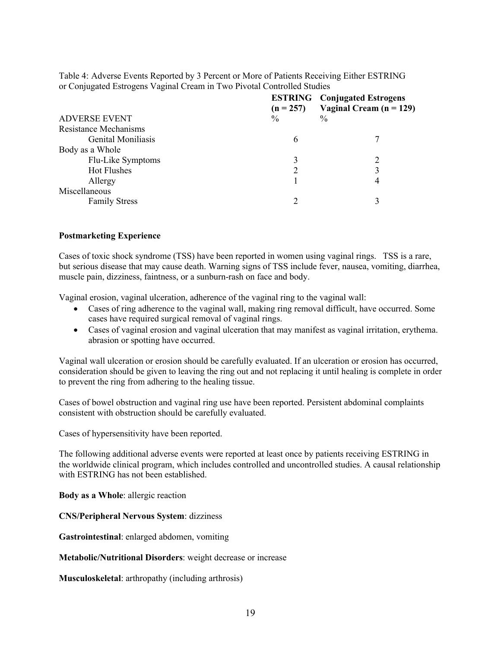| Table 4: Adverse Events Reported by 3 Percent or More of Patients Receiving Either ESTRING |  |
|--------------------------------------------------------------------------------------------|--|
| or Conjugated Estrogens Vaginal Cream in Two Pivotal Controlled Studies                    |  |

|                           | <b>ESTRING</b><br>$(n = 257)$ | <b>Conjugated Estrogens</b><br>Vaginal Cream $(n = 129)$ |
|---------------------------|-------------------------------|----------------------------------------------------------|
| <b>ADVERSE EVENT</b>      | $\frac{0}{0}$                 | $\frac{0}{0}$                                            |
| Resistance Mechanisms     |                               |                                                          |
| <b>Genital Moniliasis</b> | 6                             |                                                          |
| Body as a Whole           |                               |                                                          |
| Flu-Like Symptoms         |                               |                                                          |
| <b>Hot Flushes</b>        |                               |                                                          |
| Allergy                   |                               | 4                                                        |
| Miscellaneous             |                               |                                                          |
| <b>Family Stress</b>      |                               |                                                          |

#### **Postmarketing Experience**

Cases of toxic shock syndrome (TSS) have been reported in women using vaginal rings. TSS is a rare, but serious disease that may cause death. Warning signs of TSS include fever, nausea, vomiting, diarrhea, muscle pain, dizziness, faintness, or a sunburn-rash on face and body.

Vaginal erosion, vaginal ulceration, adherence of the vaginal ring to the vaginal wall:

- Cases of ring adherence to the vaginal wall, making ring removal difficult, have occurred. Some cases have required surgical removal of vaginal rings.
- Cases of vaginal erosion and vaginal ulceration that may manifest as vaginal irritation, erythema. abrasion or spotting have occurred.

Vaginal wall ulceration or erosion should be carefully evaluated. If an ulceration or erosion has occurred, consideration should be given to leaving the ring out and not replacing it until healing is complete in order to prevent the ring from adhering to the healing tissue.

Cases of bowel obstruction and vaginal ring use have been reported. Persistent abdominal complaints consistent with obstruction should be carefully evaluated.

Cases of hypersensitivity have been reported.

The following additional adverse events were reported at least once by patients receiving ESTRING in the worldwide clinical program, which includes controlled and uncontrolled studies. A causal relationship with ESTRING has not been established.

**Body as a Whole**: allergic reaction

**CNS/Peripheral Nervous System**: dizziness

**Gastrointestinal**: enlarged abdomen, vomiting

**Metabolic/Nutritional Disorders**: weight decrease or increase

**Musculoskeletal**: arthropathy (including arthrosis)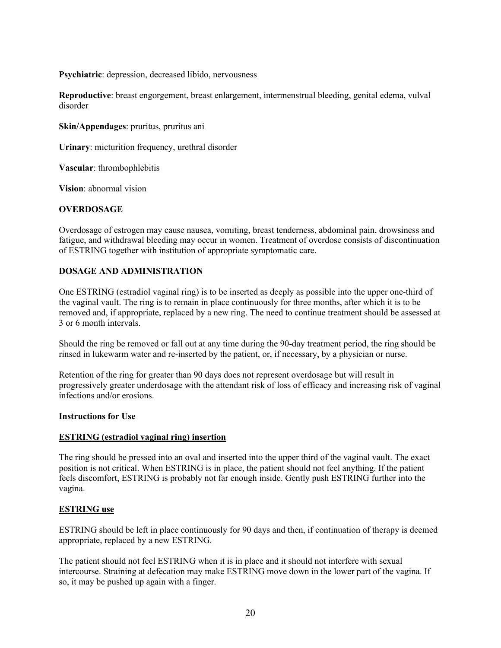**Psychiatric**: depression, decreased libido, nervousness

**Reproductive**: breast engorgement, breast enlargement, intermenstrual bleeding, genital edema, vulval disorder

**Skin/Appendages**: pruritus, pruritus ani

**Urinary**: micturition frequency, urethral disorder

**Vascular**: thrombophlebitis

**Vision**: abnormal vision

### **OVERDOSAGE**

Overdosage of estrogen may cause nausea, vomiting, breast tenderness, abdominal pain, drowsiness and fatigue, and withdrawal bleeding may occur in women. Treatment of overdose consists of discontinuation of ESTRING together with institution of appropriate symptomatic care.

### **DOSAGE AND ADMINISTRATION**

One ESTRING (estradiol vaginal ring) is to be inserted as deeply as possible into the upper one-third of the vaginal vault. The ring is to remain in place continuously for three months, after which it is to be removed and, if appropriate, replaced by a new ring. The need to continue treatment should be assessed at 3 or 6 month intervals.

Should the ring be removed or fall out at any time during the 90-day treatment period, the ring should be rinsed in lukewarm water and re-inserted by the patient, or, if necessary, by a physician or nurse.

Retention of the ring for greater than 90 days does not represent overdosage but will result in progressively greater underdosage with the attendant risk of loss of efficacy and increasing risk of vaginal infections and/or erosions.

#### **Instructions for Use**

#### **ESTRING (estradiol vaginal ring) insertion**

The ring should be pressed into an oval and inserted into the upper third of the vaginal vault. The exact position is not critical. When ESTRING is in place, the patient should not feel anything. If the patient feels discomfort, ESTRING is probably not far enough inside. Gently push ESTRING further into the vagina.

### **ESTRING use**

ESTRING should be left in place continuously for 90 days and then, if continuation of therapy is deemed appropriate, replaced by a new ESTRING.

The patient should not feel ESTRING when it is in place and it should not interfere with sexual intercourse. Straining at defecation may make ESTRING move down in the lower part of the vagina. If so, it may be pushed up again with a finger.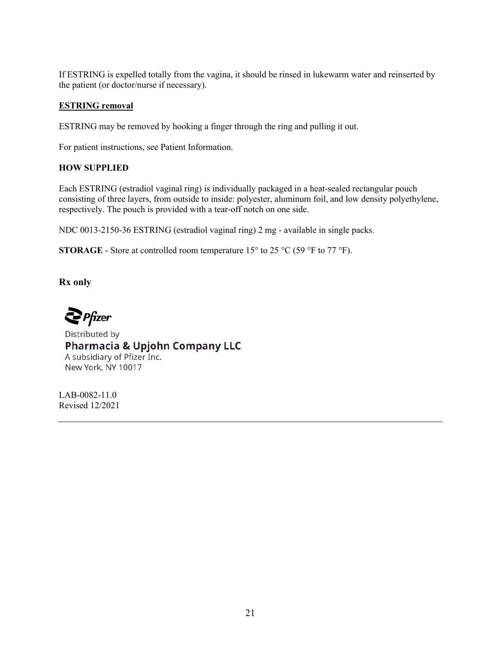If ESTRING is expelled totally from the vagina, it should be rinsed in lukewarm water and reinserted by the patient (or doctor/nurse if necessary).

## **ESTRING removal**

ESTRING may be removed by hooking a finger through the ring and pulling it out.

For patient instructions, see Patient Information.

## **HOW SUPPLIED**

Each ESTRING (estradiol vaginal ring) is individually packaged in a heat-sealed rectangular pouch consisting of three layers, from outside to inside: polyester, aluminum foil, and low density polyethylene, respectively. The pouch is provided with a tear-off notch on one side.

NDC 0013-2150-36 ESTRING (estradiol vaginal ring) 2 mg - available in single packs.

**STORAGE** - Store at controlled room temperature  $15^{\circ}$  to  $25^{\circ}$ C (59 °F to 77 °F).

**Rx only**

 $\sum$  Pfizer

Distributed by **Pharmacia & Upjohn Company LLC** A subsidiary of Pfizer Inc. New York, NY 10017

LAB-0082-11.0 Revised 12/2021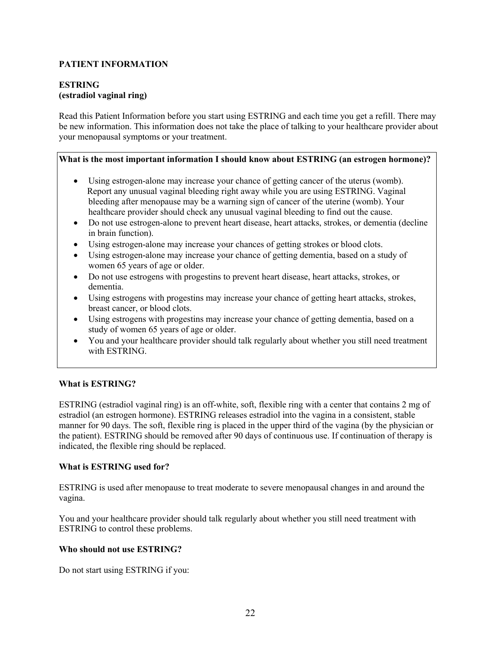# **PATIENT INFORMATION**

## **ESTRING (estradiol vaginal ring)**

Read this Patient Information before you start using ESTRING and each time you get a refill. There may be new information. This information does not take the place of talking to your healthcare provider about your menopausal symptoms or your treatment.

### **What is the most important information I should know about ESTRING (an estrogen hormone)?**

- Using estrogen-alone may increase your chance of getting cancer of the uterus (womb). Report any unusual vaginal bleeding right away while you are using ESTRING. Vaginal bleeding after menopause may be a warning sign of cancer of the uterine (womb). Your healthcare provider should check any unusual vaginal bleeding to find out the cause.
- Do not use estrogen-alone to prevent heart disease, heart attacks, strokes, or dementia (decline in brain function).
- Using estrogen-alone may increase your chances of getting strokes or blood clots.
- Using estrogen-alone may increase your chance of getting dementia, based on a study of women 65 years of age or older.
- Do not use estrogens with progestins to prevent heart disease, heart attacks, strokes, or dementia.
- Using estrogens with progestins may increase your chance of getting heart attacks, strokes, breast cancer, or blood clots.
- Using estrogens with progestins may increase your chance of getting dementia, based on a study of women 65 years of age or older.
- You and your healthcare provider should talk regularly about whether you still need treatment with ESTRING.

### **What is ESTRING?**

ESTRING (estradiol vaginal ring) is an off-white, soft, flexible ring with a center that contains 2 mg of estradiol (an estrogen hormone). ESTRING releases estradiol into the vagina in a consistent, stable manner for 90 days. The soft, flexible ring is placed in the upper third of the vagina (by the physician or the patient). ESTRING should be removed after 90 days of continuous use. If continuation of therapy is indicated, the flexible ring should be replaced.

## **What is ESTRING used for?**

ESTRING is used after menopause to treat moderate to severe menopausal changes in and around the vagina.

You and your healthcare provider should talk regularly about whether you still need treatment with ESTRING to control these problems.

# **Who should not use ESTRING?**

Do not start using ESTRING if you: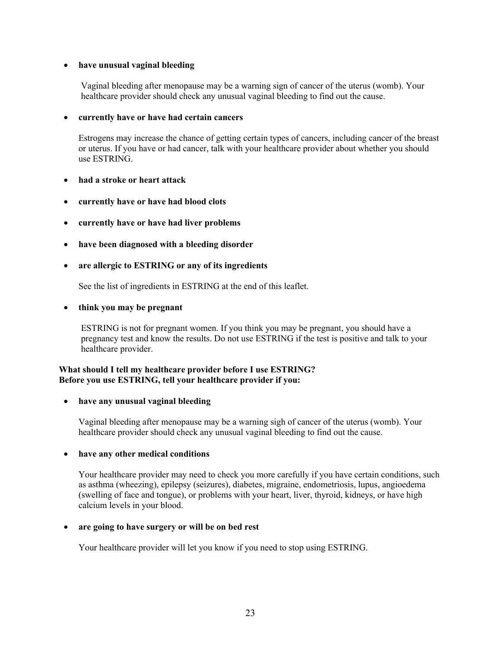### **have unusual vaginal bleeding**

Vaginal bleeding after menopause may be a warning sign of cancer of the uterus (womb). Your healthcare provider should check any unusual vaginal bleeding to find out the cause.

#### **currently have or have had certain cancers**

Estrogens may increase the chance of getting certain types of cancers, including cancer of the breast or uterus. If you have or had cancer, talk with your healthcare provider about whether you should use ESTRING.

- **had a stroke or heart attack**
- **currently have or have had blood clots**
- **currently have or have had liver problems**
- **have been diagnosed with a bleeding disorder**
- **are allergic to ESTRING or any of its ingredients**

See the list of ingredients in ESTRING at the end of this leaflet.

#### **think you may be pregnant**

ESTRING is not for pregnant women. If you think you may be pregnant, you should have a pregnancy test and know the results. Do not use ESTRING if the test is positive and talk to your healthcare provider.

#### **What should I tell my healthcare provider before I use ESTRING? Before you use ESTRING, tell your healthcare provider if you:**

#### **have any unusual vaginal bleeding**

Vaginal bleeding after menopause may be a warning sigh of cancer of the uterus (womb). Your healthcare provider should check any unusual vaginal bleeding to find out the cause.

#### **have any other medical conditions**

Your healthcare provider may need to check you more carefully if you have certain conditions, such as asthma (wheezing), epilepsy (seizures), diabetes, migraine, endometriosis, lupus, angioedema (swelling of face and tongue), or problems with your heart, liver, thyroid, kidneys, or have high calcium levels in your blood.

#### **are going to have surgery or will be on bed rest**

Your healthcare provider will let you know if you need to stop using ESTRING.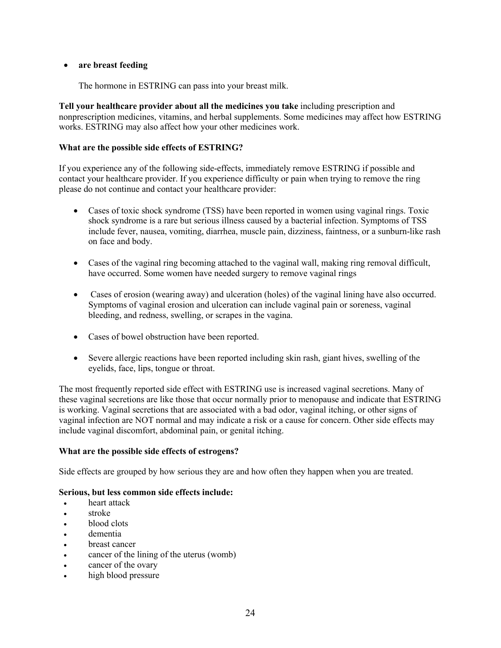## **are breast feeding**

The hormone in ESTRING can pass into your breast milk.

**Tell your healthcare provider about all the medicines you take** including prescription and nonprescription medicines, vitamins, and herbal supplements. Some medicines may affect how ESTRING works. ESTRING may also affect how your other medicines work.

## **What are the possible side effects of ESTRING?**

If you experience any of the following side-effects, immediately remove ESTRING if possible and contact your healthcare provider. If you experience difficulty or pain when trying to remove the ring please do not continue and contact your healthcare provider:

- Cases of toxic shock syndrome (TSS) have been reported in women using vaginal rings. Toxic shock syndrome is a rare but serious illness caused by a bacterial infection. Symptoms of TSS include fever, nausea, vomiting, diarrhea, muscle pain, dizziness, faintness, or a sunburn-like rash on face and body.
- Cases of the vaginal ring becoming attached to the vaginal wall, making ring removal difficult, have occurred. Some women have needed surgery to remove vaginal rings
- Cases of erosion (wearing away) and ulceration (holes) of the vaginal lining have also occurred. Symptoms of vaginal erosion and ulceration can include vaginal pain or soreness, vaginal bleeding, and redness, swelling, or scrapes in the vagina.
- Cases of bowel obstruction have been reported.
- Severe allergic reactions have been reported including skin rash, giant hives, swelling of the eyelids, face, lips, tongue or throat.

The most frequently reported side effect with ESTRING use is increased vaginal secretions. Many of these vaginal secretions are like those that occur normally prior to menopause and indicate that ESTRING is working. Vaginal secretions that are associated with a bad odor, vaginal itching, or other signs of vaginal infection are NOT normal and may indicate a risk or a cause for concern. Other side effects may include vaginal discomfort, abdominal pain, or genital itching.

### **What are the possible side effects of estrogens?**

Side effects are grouped by how serious they are and how often they happen when you are treated.

# **Serious, but less common side effects include:**

- heart attack
- stroke
- blood clots
- dementia
- breast cancer
- cancer of the lining of the uterus (womb)
- cancer of the ovary
- high blood pressure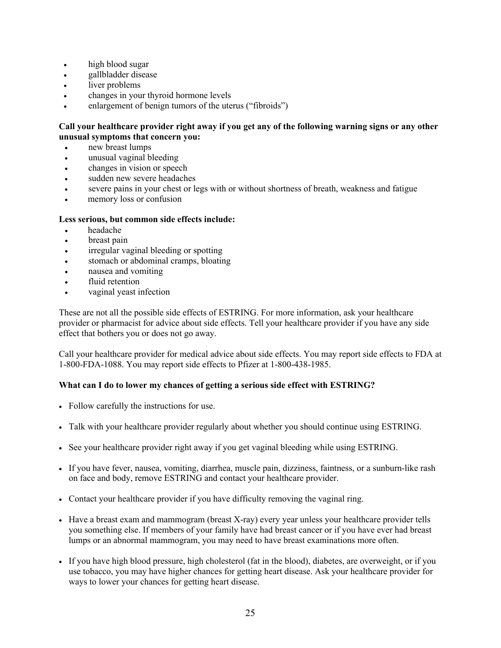- high blood sugar
- gallbladder disease
- liver problems
- changes in your thyroid hormone levels
- enlargement of benign tumors of the uterus ("fibroids")

## **Call your healthcare provider right away if you get any of the following warning signs or any other unusual symptoms that concern you:**

- new breast lumps
- unusual vaginal bleeding
- changes in vision or speech
- sudden new severe headaches
- severe pains in your chest or legs with or without shortness of breath, weakness and fatigue
- memory loss or confusion

### **Less serious, but common side effects include:**

- headache
- breast pain
- irregular vaginal bleeding or spotting
- stomach or abdominal cramps, bloating
- nausea and vomiting
- fluid retention
- vaginal yeast infection

These are not all the possible side effects of ESTRING. For more information, ask your healthcare provider or pharmacist for advice about side effects. Tell your healthcare provider if you have any side effect that bothers you or does not go away.

Call your healthcare provider for medical advice about side effects. You may report side effects to FDA at 1-800-FDA-1088. You may report side effects to Pfizer at 1-800-438-1985.

# **What can I do to lower my chances of getting a serious side effect with ESTRING?**

- Follow carefully the instructions for use.
- Talk with your healthcare provider regularly about whether you should continue using ESTRING.
- See your healthcare provider right away if you get vaginal bleeding while using ESTRING.
- If you have fever, nausea, vomiting, diarrhea, muscle pain, dizziness, faintness, or a sunburn-like rash on face and body, remove ESTRING and contact your healthcare provider.
- Contact your healthcare provider if you have difficulty removing the vaginal ring.
- Have a breast exam and mammogram (breast X-ray) every year unless your healthcare provider tells you something else. If members of your family have had breast cancer or if you have ever had breast lumps or an abnormal mammogram, you may need to have breast examinations more often.
- If you have high blood pressure, high cholesterol (fat in the blood), diabetes, are overweight, or if you use tobacco, you may have higher chances for getting heart disease. Ask your healthcare provider for ways to lower your chances for getting heart disease.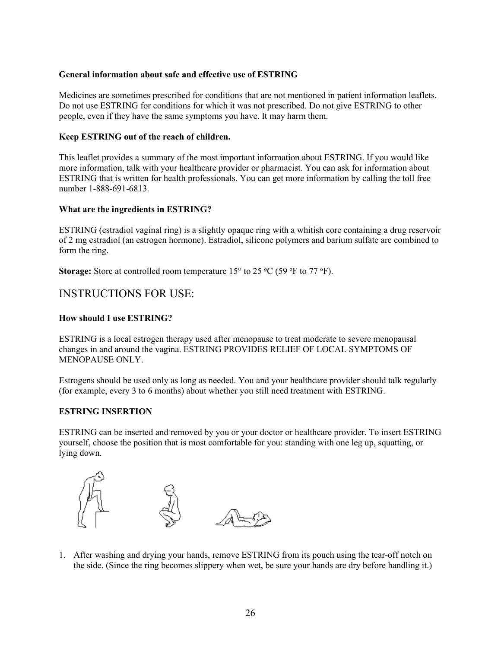## **General information about safe and effective use of ESTRING**

Medicines are sometimes prescribed for conditions that are not mentioned in patient information leaflets. Do not use ESTRING for conditions for which it was not prescribed. Do not give ESTRING to other people, even if they have the same symptoms you have. It may harm them.

## **Keep ESTRING out of the reach of children.**

This leaflet provides a summary of the most important information about ESTRING. If you would like more information, talk with your healthcare provider or pharmacist. You can ask for information about ESTRING that is written for health professionals. You can get more information by calling the toll free number 1-888-691-6813.

## **What are the ingredients in ESTRING?**

ESTRING (estradiol vaginal ring) is a slightly opaque ring with a whitish core containing a drug reservoir of 2 mg estradiol (an estrogen hormone). Estradiol, silicone polymers and barium sulfate are combined to form the ring.

**Storage:** Store at controlled room temperature  $15^{\circ}$  to  $25^{\circ}$ C (59  $^{\circ}$ F to 77  $^{\circ}$ F).

# INSTRUCTIONS FOR USE:

### **How should I use ESTRING?**

ESTRING is a local estrogen therapy used after menopause to treat moderate to severe menopausal changes in and around the vagina. ESTRING PROVIDES RELIEF OF LOCAL SYMPTOMS OF MENOPAUSE ONLY.

Estrogens should be used only as long as needed. You and your healthcare provider should talk regularly (for example, every 3 to 6 months) about whether you still need treatment with ESTRING.

### **ESTRING INSERTION**

ESTRING can be inserted and removed by you or your doctor or healthcare provider. To insert ESTRING yourself, choose the position that is most comfortable for you: standing with one leg up, squatting, or lying down.



1. After washing and drying your hands, remove ESTRING from its pouch using the tear-off notch on the side. (Since the ring becomes slippery when wet, be sure your hands are dry before handling it.)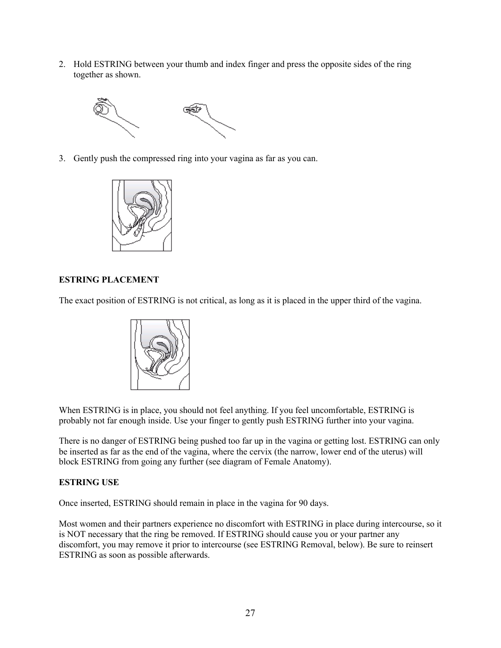2. Hold ESTRING between your thumb and index finger and press the opposite sides of the ring together as shown.



3. Gently push the compressed ring into your vagina as far as you can.



# **ESTRING PLACEMENT**

The exact position of ESTRING is not critical, as long as it is placed in the upper third of the vagina.



When ESTRING is in place, you should not feel anything. If you feel uncomfortable, ESTRING is probably not far enough inside. Use your finger to gently push ESTRING further into your vagina.

There is no danger of ESTRING being pushed too far up in the vagina or getting lost. ESTRING can only be inserted as far as the end of the vagina, where the cervix (the narrow, lower end of the uterus) will block ESTRING from going any further (see diagram of Female Anatomy).

### **ESTRING USE**

Once inserted, ESTRING should remain in place in the vagina for 90 days.

Most women and their partners experience no discomfort with ESTRING in place during intercourse, so it is NOT necessary that the ring be removed. If ESTRING should cause you or your partner any discomfort, you may remove it prior to intercourse (see ESTRING Removal, below). Be sure to reinsert ESTRING as soon as possible afterwards.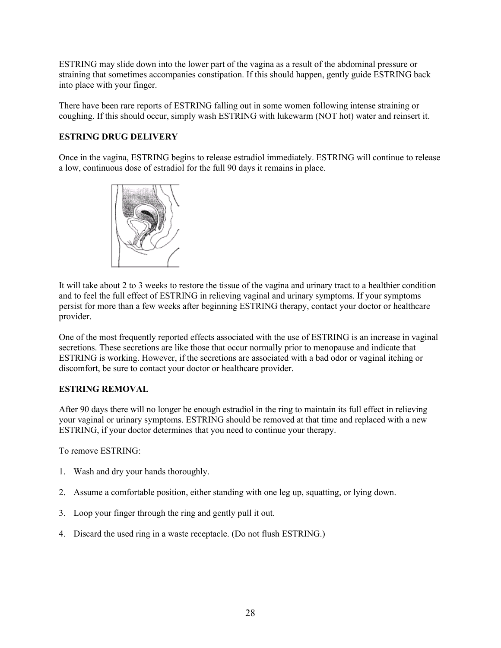ESTRING may slide down into the lower part of the vagina as a result of the abdominal pressure or straining that sometimes accompanies constipation. If this should happen, gently guide ESTRING back into place with your finger.

There have been rare reports of ESTRING falling out in some women following intense straining or coughing. If this should occur, simply wash ESTRING with lukewarm (NOT hot) water and reinsert it.

# **ESTRING DRUG DELIVERY**

Once in the vagina, ESTRING begins to release estradiol immediately. ESTRING will continue to release a low, continuous dose of estradiol for the full 90 days it remains in place.



It will take about 2 to 3 weeks to restore the tissue of the vagina and urinary tract to a healthier condition and to feel the full effect of ESTRING in relieving vaginal and urinary symptoms. If your symptoms persist for more than a few weeks after beginning ESTRING therapy, contact your doctor or healthcare provider.

One of the most frequently reported effects associated with the use of ESTRING is an increase in vaginal secretions. These secretions are like those that occur normally prior to menopause and indicate that ESTRING is working. However, if the secretions are associated with a bad odor or vaginal itching or discomfort, be sure to contact your doctor or healthcare provider.

# **ESTRING REMOVAL**

After 90 days there will no longer be enough estradiol in the ring to maintain its full effect in relieving your vaginal or urinary symptoms. ESTRING should be removed at that time and replaced with a new ESTRING, if your doctor determines that you need to continue your therapy.

To remove ESTRING:

- 1. Wash and dry your hands thoroughly.
- 2. Assume a comfortable position, either standing with one leg up, squatting, or lying down.
- 3. Loop your finger through the ring and gently pull it out.
- 4. Discard the used ring in a waste receptacle. (Do not flush ESTRING.)